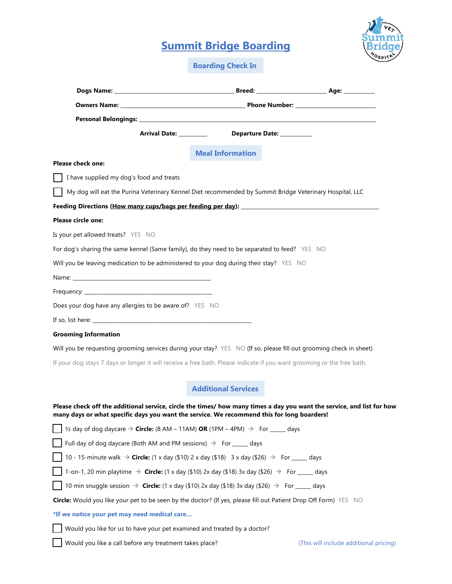## **Summit Bridge Boarding**



**Boarding Check In**

|                                                                                                                                                                                                                      | <b>Meal Information</b>    |  |
|----------------------------------------------------------------------------------------------------------------------------------------------------------------------------------------------------------------------|----------------------------|--|
| <b>Please check one:</b>                                                                                                                                                                                             |                            |  |
| I have supplied my dog's food and treats                                                                                                                                                                             |                            |  |
| My dog will eat the Purina Veterinary Kennel Diet recommended by Summit Bridge Veterinary Hospital, LLC                                                                                                              |                            |  |
|                                                                                                                                                                                                                      |                            |  |
| Please circle one:                                                                                                                                                                                                   |                            |  |
| Is your pet allowed treats? YES NO                                                                                                                                                                                   |                            |  |
| For dog's sharing the same kennel (Same family), do they need to be separated to feed? YES NO                                                                                                                        |                            |  |
| Will you be leaving medication to be administered to your dog during their stay? YES NO                                                                                                                              |                            |  |
|                                                                                                                                                                                                                      |                            |  |
|                                                                                                                                                                                                                      |                            |  |
| Does your dog have any allergies to be aware of? YES NO                                                                                                                                                              |                            |  |
|                                                                                                                                                                                                                      |                            |  |
| <b>Grooming Information</b>                                                                                                                                                                                          |                            |  |
| Will you be requesting grooming services during your stay? YES NO (If so, please fill out grooming check in sheet)                                                                                                   |                            |  |
| If your dog stays 7 days or longer it will receive a free bath. Please indicate if you want grooming or the free bath.                                                                                               |                            |  |
|                                                                                                                                                                                                                      |                            |  |
|                                                                                                                                                                                                                      | <b>Additional Services</b> |  |
| Please check off the additional service, circle the times/ how many times a day you want the service, and list for how<br>many days or what specific days you want the service. We recommend this for long boarders! |                            |  |
| $\frac{1}{2}$ day of dog daycare $\rightarrow$ Circle: (8 AM – 11AM) OR (1PM – 4PM) $\rightarrow$ For _____ days                                                                                                     |                            |  |
| Full day of dog daycare (Both AM and PM sessions) $\Rightarrow$ For _____ days                                                                                                                                       |                            |  |
| 10 - 15-minute walk $\rightarrow$ Circle: (1 x day (\$10) 2 x day (\$18) 3 x day (\$26) $\rightarrow$ For _____ days                                                                                                 |                            |  |
| 1-on-1, 20 min playtime $\rightarrow$ Circle: (1 x day (\$10) 2x day (\$18) 3x day (\$26) $\rightarrow$ For _____ days                                                                                               |                            |  |
| 10 min snuggle session $\rightarrow$ <b>Circle:</b> (1 x day (\$10) 2x day (\$18) 3x day (\$26) $\rightarrow$ For ____ days                                                                                          |                            |  |
| Circle: Would you like your pet to be seen by the doctor? (If yes, please fill out Patient Drop Off Form) YES NO                                                                                                     |                            |  |
|                                                                                                                                                                                                                      |                            |  |
| *If we notice your pet may need medical care                                                                                                                                                                         |                            |  |
| Would you like for us to have your pet examined and treated by a doctor?                                                                                                                                             |                            |  |